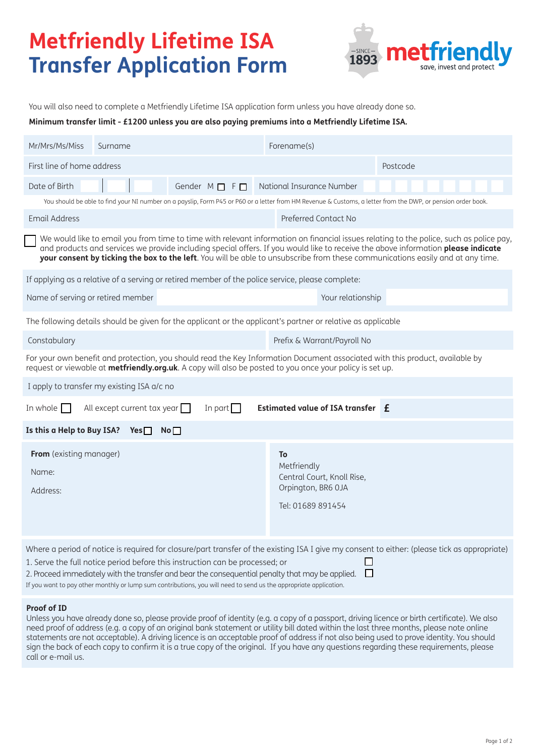# **Metfriendly Lifetime ISA Transfer Application Form**



You will also need to complete a Metfriendly Lifetime ISA application form unless you have already done so.

**Minimum transfer limit - £1200 unless you are also paying premiums into a Metfriendly Lifetime ISA.**

| Mr/Mrs/Ms/Miss                                                                                                                                                                                                                                                                                                                                                                                                                                             | Surname                                             |  |  |  | Forename(s)                                                  |                            |  |  |  |  |  |  |  |
|------------------------------------------------------------------------------------------------------------------------------------------------------------------------------------------------------------------------------------------------------------------------------------------------------------------------------------------------------------------------------------------------------------------------------------------------------------|-----------------------------------------------------|--|--|--|--------------------------------------------------------------|----------------------------|--|--|--|--|--|--|--|
| First line of home address                                                                                                                                                                                                                                                                                                                                                                                                                                 |                                                     |  |  |  | Postcode                                                     |                            |  |  |  |  |  |  |  |
| Date of Birth                                                                                                                                                                                                                                                                                                                                                                                                                                              | Gender $M \Box F \Box$<br>National Insurance Number |  |  |  |                                                              |                            |  |  |  |  |  |  |  |
| You should be able to find your NI number on a payslip, Form P45 or P60 or a letter from HM Revenue & Customs, a letter from the DWP, or pension order book.                                                                                                                                                                                                                                                                                               |                                                     |  |  |  |                                                              |                            |  |  |  |  |  |  |  |
| <b>Email Address</b>                                                                                                                                                                                                                                                                                                                                                                                                                                       |                                                     |  |  |  | Preferred Contact No                                         |                            |  |  |  |  |  |  |  |
| We would like to email you from time to time with relevant information on financial issues relating to the police, such as police pay,<br>and products and services we provide including special offers. If you would like to receive the above information please indicate<br>your consent by ticking the box to the left. You will be able to unsubscribe from these communications easily and at any time.                                              |                                                     |  |  |  |                                                              |                            |  |  |  |  |  |  |  |
| If applying as a relative of a serving or retired member of the police service, please complete:                                                                                                                                                                                                                                                                                                                                                           |                                                     |  |  |  |                                                              |                            |  |  |  |  |  |  |  |
| Name of serving or retired member                                                                                                                                                                                                                                                                                                                                                                                                                          |                                                     |  |  |  |                                                              | Your relationship          |  |  |  |  |  |  |  |
| The following details should be given for the applicant or the applicant's partner or relative as applicable                                                                                                                                                                                                                                                                                                                                               |                                                     |  |  |  |                                                              |                            |  |  |  |  |  |  |  |
| Constabulary                                                                                                                                                                                                                                                                                                                                                                                                                                               |                                                     |  |  |  | Prefix & Warrant/Payroll No                                  |                            |  |  |  |  |  |  |  |
| For your own benefit and protection, you should read the Key Information Document associated with this product, available by<br>request or viewable at metfriendly.org.uk. A copy will also be posted to you once your policy is set up.                                                                                                                                                                                                                   |                                                     |  |  |  |                                                              |                            |  |  |  |  |  |  |  |
|                                                                                                                                                                                                                                                                                                                                                                                                                                                            | I apply to transfer my existing ISA a/c no          |  |  |  |                                                              |                            |  |  |  |  |  |  |  |
| In part $\Box$<br>In whole $\Box$<br>All except current tax year $\Box$<br>Estimated value of ISA transfer E                                                                                                                                                                                                                                                                                                                                               |                                                     |  |  |  |                                                              |                            |  |  |  |  |  |  |  |
| Is this a Help to Buy ISA? Yes $\square$<br>No <sub>1</sub>                                                                                                                                                                                                                                                                                                                                                                                                |                                                     |  |  |  |                                                              |                            |  |  |  |  |  |  |  |
| <b>From</b> (existing manager)<br>Name:<br>Address:                                                                                                                                                                                                                                                                                                                                                                                                        |                                                     |  |  |  | To<br>Metfriendly<br>Orpington, BR6 OJA<br>Tel: 01689 891454 | Central Court, Knoll Rise, |  |  |  |  |  |  |  |
| Where a period of notice is required for closure/part transfer of the existing ISA I give my consent to either: (please tick as appropriate)<br>1. Serve the full notice period before this instruction can be processed; or<br>2. Proceed immediately with the transfer and bear the consequential penalty that may be applied.<br>П<br>If you want to pay other monthly or lump sum contributions, you will need to send us the appropriate application. |                                                     |  |  |  |                                                              |                            |  |  |  |  |  |  |  |

# **Proof of ID**

Unless you have already done so, please provide proof of identity (e.g. a copy of a passport, driving licence or birth certificate). We also need proof of address (e.g. a copy of an original bank statement or utility bill dated within the last three months, please note online statements are not acceptable). A driving licence is an acceptable proof of address if not also being used to prove identity. You should sign the back of each copy to confirm it is a true copy of the original. If you have any questions regarding these requirements, please call or e-mail us.